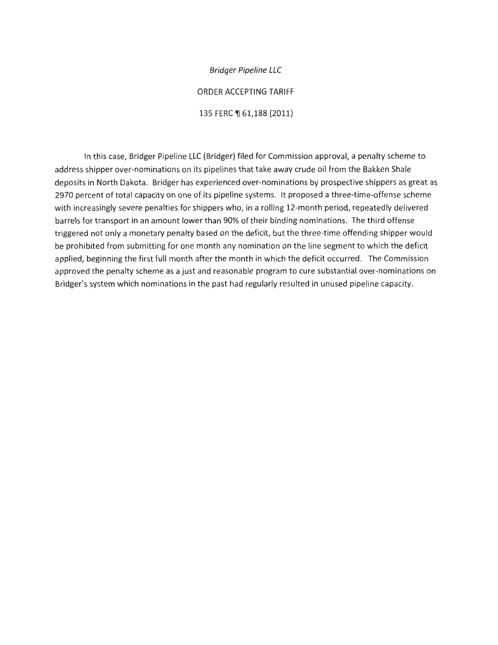Bridger Pipeline LLC

ORDER ACCEPTING TARIFF

135 FERC ¶ 61,188 (2011)

In this case, Bridger Pipeline LLC (Bridger) filed for Commission approval, a penalty scheme to address shipper over-nominations on its pipelines that take away crude oil from the Bakken Shale deposits in North Dakota. Bridger has experienced over-nominations by prospective shippers as great as 2970 percent of total capacity on one of its pipeline systems. It proposed a three-time-offense scheme with increasingly severe penalties for shippers who, in a rolling 12-month period, repeatedly delivered barrels for transport in an amount lower than 90% of their binding nominations. The third offense triggered not only a monetary penalty based on the deficit, but the three-time offending shipper would be prohibited from submitting for one month any nomination on the line segment to which the deficit applied, beginning the first full month after the month in which the deficit occurred. The Commission approved the penalty scheme as a just and reasonable program to cure substantial over-nominations on Bridger's system which nominations in the past had regularly resulted in unused pipeline capacity.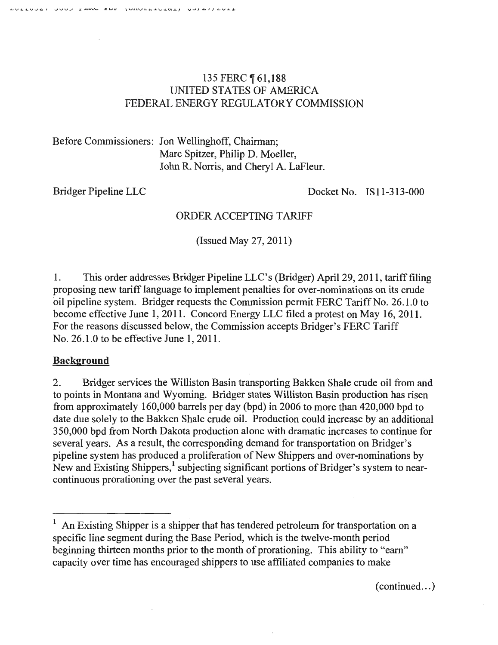## 135 FERC 161,188 UNITED STATES OF AMERICA FEDERAL ENERGY REGULATORY COMMISSION

Before Commissioners: Jon Wellinghoff, Chairman; Marc Spitzer, Philip D. Moeller, John R. Norris, and Cheryl A. LaFleur.

Bridger Pipeline LLC Docket No. IS11-313-000

# ORDER ACCEPTING TARIFF

(Issued May 27, 2011)

1. This order addresses Bridger Pipeline LLC's (Bridger) April 29, 2011, tariff filing proposing new tariff language to implement penalties for over-nominations on its crude oil pipeline system. Bridger requests the Commission permit FERC Tariff No. 26.1.0 to become effective June 1, 2011. Concord Energy LLC filed a protest on May 16, 2011. For the reasons discussed below, the Commission accepts Bridger's FERC Tariff No. 26.1.0 to be effective June 1, 2011.

## **Background**

2. Bridger services the Williston Basin transporting Bakken Shale crude oil from and to points in Montana and Wyoming. Bridger states Williston Basin production has risen from approximately 160,000 barrels per day (bpd) in 2006 to more than 420,000 bpd to date due solely to the Bakken Shale crude oil. Production could increase by an additional 350,000 bpd from North Dakota production alone with dramatic increases to continue for several years. As a result, the corresponding demand for transportation on Bridger's pipeline system has produced a proliferation of New Shippers and over-nominations by New and Existing Shippers,<sup>1</sup> subjecting significant portions of Bridger's system to nearcontinuous prorationing over the past several years.

 $(continued...)$ 

An Existing Shipper is a shipper that has tendered petroleum for transportation on a specific line segment during the Base Period, which is the twelve-month period beginning thirteen months prior to the month of prorationing. This ability to "earn" capacity over time has encouraged shippers to use affiliated companies to make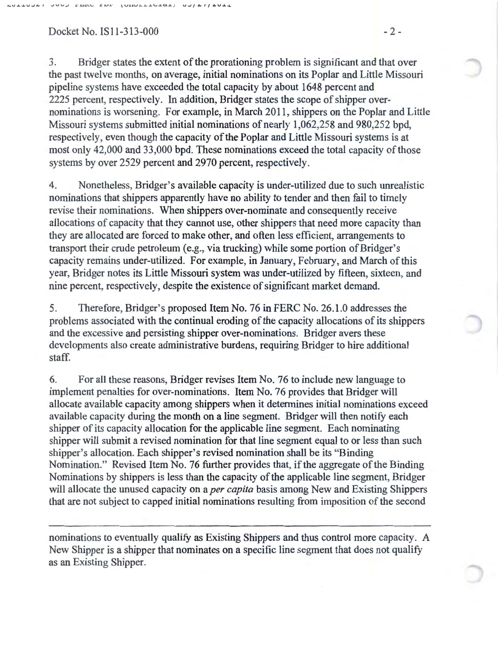### Docket No. IS11-313-000 - 2 -

3. Bridger states the extent of the prorationing problem is significant and that over the past twelve months, on average, initial nominations on its Poplar and Little Missouri pipeline systems have exceeded the total capacity by about 1648 percent and 2225 percent, respectively. In addition, Bridger states the scope of shipper overnominations is worsening. For example, in March 2011, shippers on the Poplar and Little Missouri systems submitted initial nominations of nearly 1,062,258 and 980,252 bpd, respectively, even though the capacity of the Poplar and Little Missouri systems is at most only 42,000 and 33,000 bpd. These nominations exceed the total capacity of those systems by over 2529 percent and 2970 percent, respectively.

4. Nonetheless, Bridger's available capacity is under-utilized due to such unrealistic nominations that shippers apparently have no ability to tender and then fail to timely revise their nominations. When shippers over-nominate and consequently receive allocations of capacity that they cannot use, other shippers that need more capacity than they are allocated are forced to make other, and often less efficient, arrangements to transport their crude petroleum (e.g., via trucking) while some portion of Bridger's capacity remains under-utilized. For example, in January, February, and March of this year, Bridger notes its Little Missouri system was under-utilized by fifteen, sixteen, and nine percent, respectively, despite the existence of significant market demand.

5. Therefore, Bridger's proposed Item No. 76 in FERC No. 26.1.0 addresses the problems associated with the continual eroding of the capacity allocations of its shippers and the excessive and persisting shipper over-nominations. Bridger avers these developments also create administrative burdens, requiring Bridger to hire additional staff.

6. For all these reasons, Bridger revises Item No. 76 to include new language to implement penalties for over-nominations. Item No. 76 provides that Bridger will allocate available capacity among shippers when it determines initial nominations exceed available capacity during the month on a line segment. Bridger will then notify each shipper of its capacity allocation for the applicable line segment. Each nominating shipper will submit a revised nomination for that line segment equal to or less than such shipper's allocation. Each shipper's revised nomination shall be its "Binding Nomination." Revised Item No. 76 further provides that, if the aggregate of the Binding Nominations by shippers is less than the capacity of the applicable line segment, Bridger will allocate the unused capacity on a *per capita* basis among New and Existing Shippers that are not subject to capped initial nominations resulting from imposition of the second

nominations to eventually qualify as Existing Shippers and thus control more capacity. A New Shipper is a shipper that nominates on a specific line segment that does not qualify as an Existing Shipper.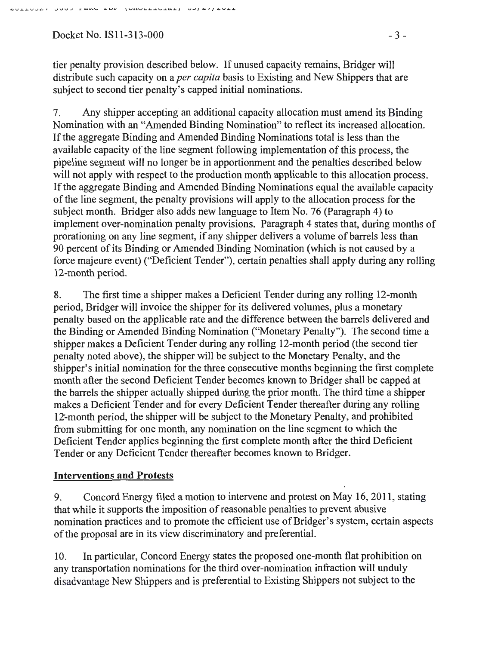$Dacket No.$  IS11-313-000  $-3-$ 

tier penalty provision described below. If unused capacity remains, Bridger will distribute such capacity on a *per capita* basis to Existing and New Shippers that are subject to second tier penalty's capped initial nominations.

7. Any shipper accepting an additional capacity allocation must amend its Binding Nomination with an "Amended Binding Nomination" to reflect its increased allocation. If the aggregate Binding and Amended Binding Nominations total is less than the available capacity of the line segment following implementation of this process, the pipeline segment will no longer be in apportionment and the penalties described below will not apply with respect to the production month applicable to this allocation process. If the aggregate Binding and Amended Binding Nominations equal the available capacity of the line segment, the penalty provisions will apply to the allocation process for the subject month. Bridger also adds new language to Item No. 76 (Paragraph 4) to implement over-nomination penalty provisions. Paragraph 4 states that, during months of prorationing on any line segment, if any shipper delivers a volume of barrels less than 90 percent of its Binding or Amended Binding Nomination (which is not caused by a force majeure event) ("Deficient Tender"), certain penalties shall apply during any rolling 12-month period.

8. The first time a shipper makes a Deficient Tender during any rolling 12-month period, Bridger will invoice the shipper for its delivered volumes, plus a monetary penalty based on the applicable rate and the difference between the barrels delivered and the Binding or Amended Binding Nomination ("Monetary Penalty"). The second time a shipper makes a Deficient Tender during any rolling 12-month period (the second tier penalty noted above), the shipper will be subject to the Monetary Penalty, and the shipper's initial nomination for the three consecutive months beginning the first complete month after the second Deficient Tender becomes known to Bridger shall be capped at the barrels the shipper actually shipped during the prior month. The third time a shipper makes a Deficient Tender and for every Deficient Tender thereafter during any rolling 12-month period, the shipper will be subject to the Monetary Penalty, and prohibited from submitting for one month, any nomination on the line segment to which the Deficient Tender applies beginning the first complete month after the third Deficient Tender or any Deficient Tender thereafter becomes known to Bridger.

### Interventions and Protests

9. Concord Energy filed a motion to intervene and protest on May 16, 2011, stating that while it supports the imposition of reasonable penalties to prevent abusive nomination practices and to promote the efficient use of Bridger's system, certain aspects of the proposal are in its view discriminatory and preferential.

10. In particular, Concord Energy states the proposed one-month flat prohibition on any transportation nominations for the third over-nomination infraction will unduly disadvantage New Shippers and is preferential to Existing Shippers not subject to the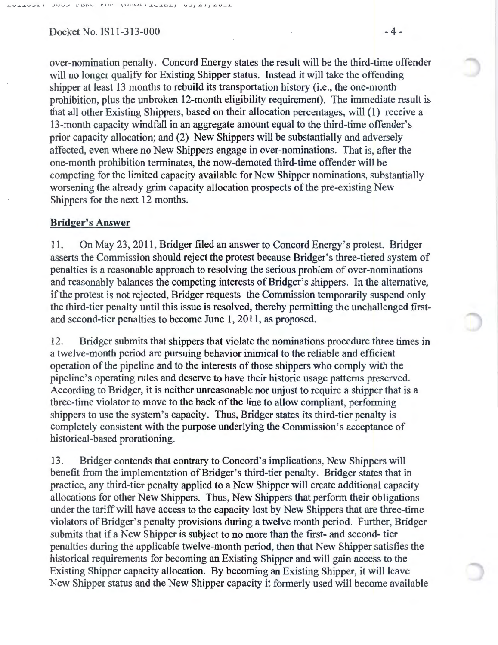#### Docket No. IS 1 1 - 3 1 3 - 000

 $L = L$ 

 $1$ UIIVIIIVIIIII

 $U - I I I I U + I$ 

over-nomination penalty. Concord Energy states the result will be the third-time offender will no longer qualify for Existing Shipper status. Instead it will take the offending shipper at least 13 months to rebuild its transportation history (i.e., the one-month prohibition, plus the unbroken 12-month eligibility requirement). The immediate result is that all other Existing Shippers, based on their allocation percentages, will (1) receive a 13-month capacity windfall in an aggregate amount equal to the third-time offender's prior capacity allocation; and (2) New Shippers will be substantially and adversely affected, even where no New Shippers engage in over-nominations. That is, after the one-month prohibition terminates, the now-demoted third-time offender will be competing for the limited capacity available for New Shipper nominations, substantially worsening the already grim capacity allocation prospects of the pre-existing New Shippers for the next 12 months.

#### **Bridger's Answer**

11. On May 23, 2011, Bridger filed an answer to Concord Energy's protest. Bridger asserts the Commission should reject the protest because Bridger's three-tiered system of penalties is a reasonable approach to resolving the serious problem of over-nominations and reasonably balances the competing interests of Bridger's shippers. In the alternative, if the protest is not rejected, Bridger requests the Commission temporarily suspend only the third-tier penalty until this issue is resolved, thereby permitting the unchallenged firstand second-tier penalties to become June **1,** 2011, as proposed.

12. Bridger submits that shippers that violate the nominations procedure three times in a twelve-month period are pursuing behavior inimical to the reliable and efficient operation of the pipeline and to the interests of those shippers who comply with the pipeline's operating rules and deserve to have their historic usage patterns preserved. According to Bridger, it is neither unreasonable nor unjust to require a shipper that is a three-time violator to move to the back of the line to allow compliant, performing shippers to use the system's capacity. Thus, Bridger states its third-tier penalty is completely consistent with the purpose underlying the Commission's acceptance of historical-based prorationing.

13. Bridger contends that contrary to Concord's implications, New Shippers will benefit from the implementation of Bridger's third-tier penalty. Bridger states that in practice, any third-tier penalty applied to a New Shipper will create additional capacity allocations for other New Shippers. Thus, New Shippers that perform their obligations under the tariff will have access to the capacity lost by New Shippers that are three-time violators of Bridger's penalty provisions during a twelve month period. Further, Bridger submits that if a New Shipper is subject to no more than the first- and second- tier penalties during the applicable twelve-month period, then that New Shipper satisfies the historical requirements for becoming an Existing Shipper and will gain access to the Existing Shipper capacity allocation. By becoming an Existing Shipper, it will leave New Shipper status and the New Shipper capacity it formerly used will become available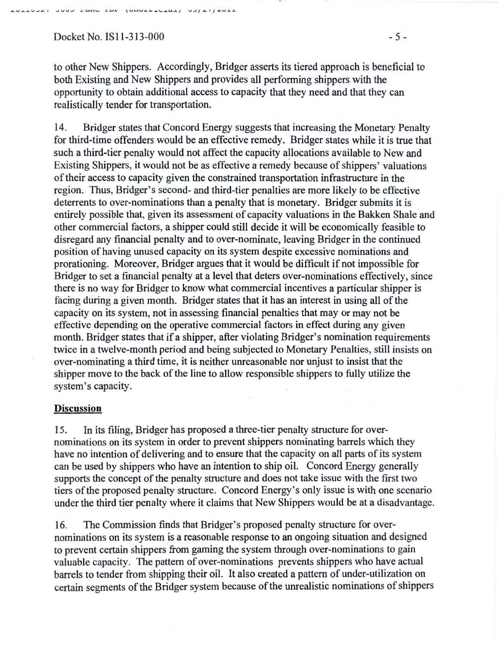$Docket No.$  IS11-313-000  $-5-$ 

to other New Shippers. Accordingly, Bridger asserts its tiered approach is beneficial to both Existing and New Shippers and provides all performing shippers with the opportunity to obtain additional access to capacity that they need and that they can realistically tender for transportation.

14. Bridger states that Concord Energy suggests that increasing the Monetary Penalty for third-time offenders would be an effective remedy. Bridger states while it is true that such a third-tier penalty would not affect the capacity allocations available to New and Existing Shippers, it would not be as effective a remedy because of shippers' valuations of their access to capacity given the constrained transportation infrastructure in the region. Thus, Bridger's second- and third-tier penalties are more likely to be effective deterrents to over-nominations than a penalty that is monetary. Bridger submits it is entirely possible that, given its assessment of capacity valuations in the Bakken Shale and other commercial factors, a shipper could still decide it will be economically feasible to disregard any financial penalty and to over-nominate, leaving Bridger in the continued position of having unused capacity on its system despite excessive nominations and prorationing. Moreover, Bridger argues that it would be difficult if not impossible for Bridger to set a financial penalty at a level that deters over-nominations effectively, since there is no way for Bridger to know what commercial incentives a particular shipper is facing during a given month. Bridger states that it has an interest in using all of the capacity on its system, not in assessing financial penalties that may or may not be effective depending on the operative commercial factors in effect during any given month. Bridger states that if a shipper, after violating Bridger's nomination requirements twice in a twelve-month period and being subjected to Monetary Penalties, still insists on over-nominating a third time, it is neither unreasonable nor unjust to insist that the shipper move to the back of the line to allow responsible shippers to fully utilize the system's capacity.

#### **Discussion**

15. In its filing, Bridger has proposed a three-tier penalty structure for overnominations on its system in order to prevent shippers nominating barrels which they have no intention of delivering and to ensure that the capacity on all parts of its system can be used by shippers who have an intention to ship oil. Concord Energy generally supports the concept of the penalty structure and does not take issue with the first two tiers of the proposed penalty structure. Concord Energy's only issue is with one scenario under the third tier penalty where it claims that New Shippers would be at a disadvantage.

16. The Commission finds that Bridger's proposed penalty structure for overnominations on its system is a reasonable response to an ongoing situation and designed to prevent certain shippers from gaming the system through over-nominations to gain valuable capacity. The pattern of over-nominations prevents shippers who have actual barrels to tender from shipping their oil. It also created a pattern of under-utilization on certain segments of the Bridger system because of the unrealistic nominations of shippers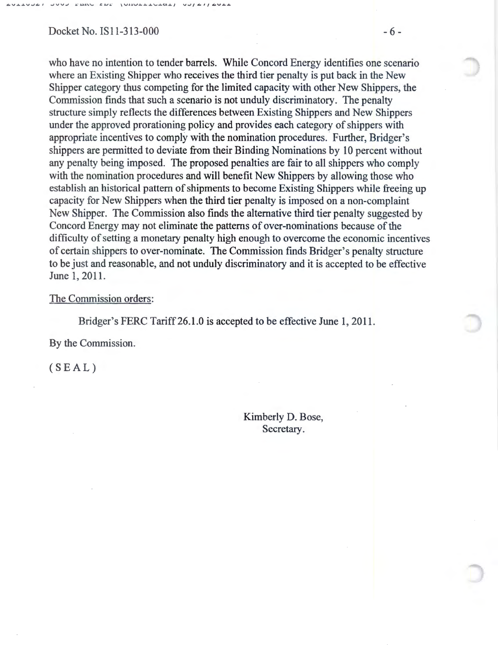#### Docket No. IS11-313-000 - 6 -

who have no intention to tender barrels. While Concord Energy identifies one scenario where an Existing Shipper who receives the third tier penalty is put back in the New Shipper category thus competing for the limited capacity with other New Shippers, the Commission finds that such a scenario is not unduly discriminatory. The penalty structure simply reflects the differences between Existing Shippers and New Shippers under the approved prorationing policy and provides each category of shippers with appropriate incentives to comply with the nomination procedures. Further, Bridger's shippers are permitted to deviate from their Binding Nominations by 10 percent without any penalty being imposed. The proposed penalties are fair to all shippers who comply with the nomination procedures and will benefit New Shippers by allowing those who establish an historical pattern of shipments to become Existing Shippers while freeing up capacity for New Shippers when the third tier penalty is imposed on a non-complaint New Shipper. The Commission also finds the alternative third tier penalty suggested by Concord Energy may not eliminate the patterns of over-nominations because of the difficulty of setting a monetary penalty high enough to overcome the economic incentives of certain shippers to over-nominate. The Commission finds Bridger's penalty structure to be just and reasonable, and not unduly discriminatory and it is accepted to be effective June 1, 2011.

#### The Commission orders:

Bridger's FERC Tariff26.1.0 is accepted to be effective June **1,** 2011.

By the Commission.

(SEAL)

Kimberly D. Bose, Secretary.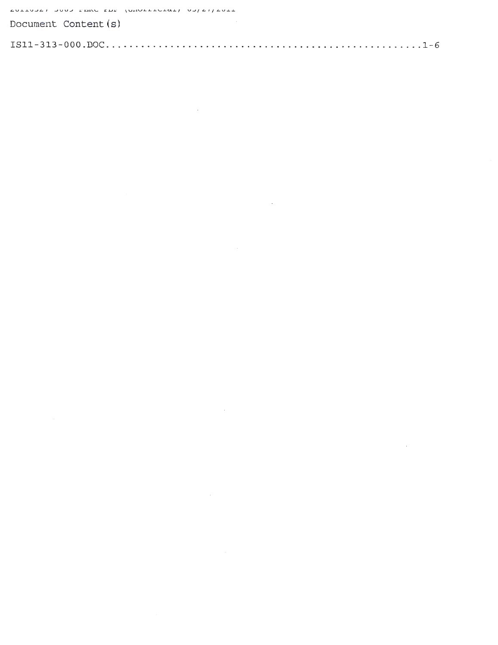JOOD PARC EDE  $\sqrt{2}$ 

| Document Content(s) |  |  |
|---------------------|--|--|
|                     |  |  |

 $\label{eq:2.1} \frac{1}{\sqrt{2}}\int_{\mathbb{R}^3}\frac{1}{\sqrt{2}}\left(\frac{1}{\sqrt{2}}\int_{\mathbb{R}^3}\frac{1}{\sqrt{2}}\left(\frac{1}{\sqrt{2}}\int_{\mathbb{R}^3}\frac{1}{\sqrt{2}}\left(\frac{1}{\sqrt{2}}\int_{\mathbb{R}^3}\frac{1}{\sqrt{2}}\right)\right)\frac{1}{\sqrt{2}}\right)=\frac{1}{2}\int_{\mathbb{R}^3}\frac{1}{\sqrt{2}}\int_{\mathbb{R}^3}\frac{1}{\sqrt{2}}\frac{1}{\sqrt{2}}\int_{\mathbb$ 

 $\label{eq:2.1} \frac{1}{\sqrt{2}}\int_{\mathbb{R}^3}\frac{1}{\sqrt{2}}\left(\frac{1}{\sqrt{2}}\right)^2\frac{1}{\sqrt{2}}\left(\frac{1}{\sqrt{2}}\right)^2\frac{1}{\sqrt{2}}\left(\frac{1}{\sqrt{2}}\right)^2\frac{1}{\sqrt{2}}\left(\frac{1}{\sqrt{2}}\right)^2.$ 

 $\label{eq:2.1} \frac{1}{\sqrt{2}}\left(\frac{1}{\sqrt{2}}\right)^{2} \left(\frac{1}{\sqrt{2}}\right)^{2} \left(\frac{1}{\sqrt{2}}\right)^{2} \left(\frac{1}{\sqrt{2}}\right)^{2} \left(\frac{1}{\sqrt{2}}\right)^{2} \left(\frac{1}{\sqrt{2}}\right)^{2} \left(\frac{1}{\sqrt{2}}\right)^{2} \left(\frac{1}{\sqrt{2}}\right)^{2} \left(\frac{1}{\sqrt{2}}\right)^{2} \left(\frac{1}{\sqrt{2}}\right)^{2} \left(\frac{1}{\sqrt{2}}\right)^{2} \left(\$